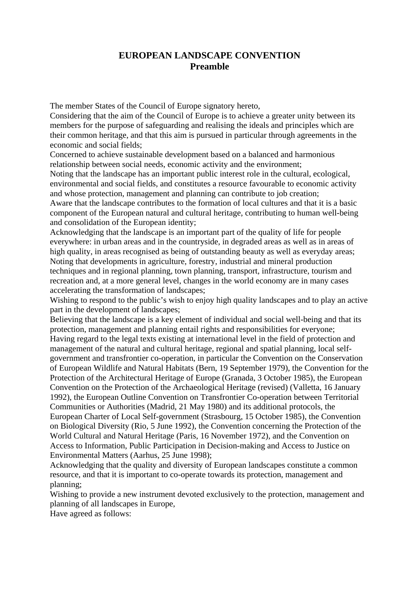# **EUROPEAN LANDSCAPE CONVENTION Preamble**

The member States of the Council of Europe signatory hereto,

Considering that the aim of the Council of Europe is to achieve a greater unity between its members for the purpose of safeguarding and realising the ideals and principles which are their common heritage, and that this aim is pursued in particular through agreements in the economic and social fields;

Concerned to achieve sustainable development based on a balanced and harmonious relationship between social needs, economic activity and the environment;

Noting that the landscape has an important public interest role in the cultural, ecological, environmental and social fields, and constitutes a resource favourable to economic activity and whose protection, management and planning can contribute to job creation;

Aware that the landscape contributes to the formation of local cultures and that it is a basic component of the European natural and cultural heritage, contributing to human well-being and consolidation of the European identity;

Acknowledging that the landscape is an important part of the quality of life for people everywhere: in urban areas and in the countryside, in degraded areas as well as in areas of high quality, in areas recognised as being of outstanding beauty as well as everyday areas; Noting that developments in agriculture, forestry, industrial and mineral production techniques and in regional planning, town planning, transport, infrastructure, tourism and recreation and, at a more general level, changes in the world economy are in many cases accelerating the transformation of landscapes;

Wishing to respond to the public's wish to enjoy high quality landscapes and to play an active part in the development of landscapes;

Believing that the landscape is a key element of individual and social well-being and that its protection, management and planning entail rights and responsibilities for everyone; Having regard to the legal texts existing at international level in the field of protection and management of the natural and cultural heritage, regional and spatial planning, local selfgovernment and transfrontier co-operation, in particular the Convention on the Conservation of European Wildlife and Natural Habitats (Bern, 19 September 1979), the Convention for the Protection of the Architectural Heritage of Europe (Granada, 3 October 1985), the European Convention on the Protection of the Archaeological Heritage (revised) (Valletta, 16 January 1992), the European Outline Convention on Transfrontier Co-operation between Territorial Communities or Authorities (Madrid, 21 May 1980) and its additional protocols, the European Charter of Local Self-government (Strasbourg, 15 October 1985), the Convention on Biological Diversity (Rio, 5 June 1992), the Convention concerning the Protection of the World Cultural and Natural Heritage (Paris, 16 November 1972), and the Convention on Access to Information, Public Participation in Decision-making and Access to Justice on Environmental Matters (Aarhus, 25 June 1998);

Acknowledging that the quality and diversity of European landscapes constitute a common resource, and that it is important to co-operate towards its protection, management and planning;

Wishing to provide a new instrument devoted exclusively to the protection, management and planning of all landscapes in Europe,

Have agreed as follows: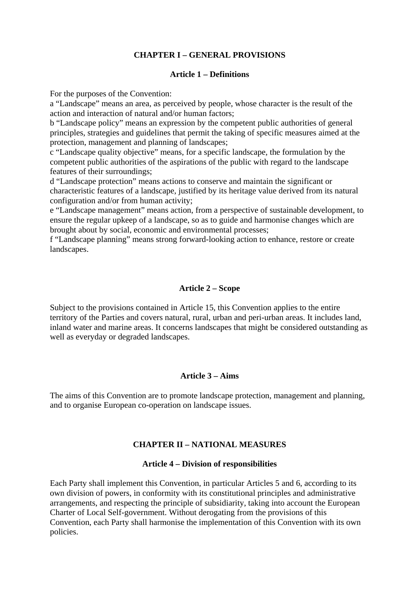# **CHAPTER I – GENERAL PROVISIONS**

#### **Article 1 – Definitions**

For the purposes of the Convention:

a "Landscape" means an area, as perceived by people, whose character is the result of the action and interaction of natural and/or human factors;

b "Landscape policy" means an expression by the competent public authorities of general principles, strategies and guidelines that permit the taking of specific measures aimed at the protection, management and planning of landscapes;

c "Landscape quality objective" means, for a specific landscape, the formulation by the competent public authorities of the aspirations of the public with regard to the landscape features of their surroundings;

d "Landscape protection" means actions to conserve and maintain the significant or characteristic features of a landscape, justified by its heritage value derived from its natural configuration and/or from human activity;

e "Landscape management" means action, from a perspective of sustainable development, to ensure the regular upkeep of a landscape, so as to guide and harmonise changes which are brought about by social, economic and environmental processes;

f "Landscape planning" means strong forward-looking action to enhance, restore or create landscapes.

#### **Article 2 – Scope**

Subject to the provisions contained in Article 15, this Convention applies to the entire territory of the Parties and covers natural, rural, urban and peri-urban areas. It includes land, inland water and marine areas. It concerns landscapes that might be considered outstanding as well as everyday or degraded landscapes.

#### **Article 3 – Aims**

The aims of this Convention are to promote landscape protection, management and planning, and to organise European co-operation on landscape issues.

#### **CHAPTER II – NATIONAL MEASURES**

#### **Article 4 – Division of responsibilities**

Each Party shall implement this Convention, in particular Articles 5 and 6, according to its own division of powers, in conformity with its constitutional principles and administrative arrangements, and respecting the principle of subsidiarity, taking into account the European Charter of Local Self-government. Without derogating from the provisions of this Convention, each Party shall harmonise the implementation of this Convention with its own policies.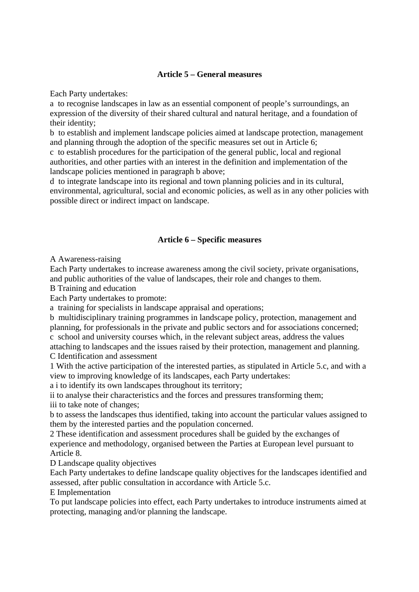# **Article 5 – General measures**

Each Party undertakes:

a to recognise landscapes in law as an essential component of people's surroundings, an expression of the diversity of their shared cultural and natural heritage, and a foundation of their identity;

b to establish and implement landscape policies aimed at landscape protection, management and planning through the adoption of the specific measures set out in Article 6;

c to establish procedures for the participation of the general public, local and regional authorities, and other parties with an interest in the definition and implementation of the landscape policies mentioned in paragraph b above;

d to integrate landscape into its regional and town planning policies and in its cultural, environmental, agricultural, social and economic policies, as well as in any other policies with possible direct or indirect impact on landscape.

### **Article 6 – Specific measures**

A Awareness-raising

Each Party undertakes to increase awareness among the civil society, private organisations, and public authorities of the value of landscapes, their role and changes to them.

B Training and education

Each Party undertakes to promote:

a training for specialists in landscape appraisal and operations;

b multidisciplinary training programmes in landscape policy, protection, management and planning, for professionals in the private and public sectors and for associations concerned; c school and university courses which, in the relevant subject areas, address the values

attaching to landscapes and the issues raised by their protection, management and planning. C Identification and assessment

1 With the active participation of the interested parties, as stipulated in Article 5.c, and with a view to improving knowledge of its landscapes, each Party undertakes:

a i to identify its own landscapes throughout its territory;

ii to analyse their characteristics and the forces and pressures transforming them;

iii to take note of changes;

b to assess the landscapes thus identified, taking into account the particular values assigned to them by the interested parties and the population concerned.

2 These identification and assessment procedures shall be guided by the exchanges of experience and methodology, organised between the Parties at European level pursuant to Article 8.

D Landscape quality objectives

Each Party undertakes to define landscape quality objectives for the landscapes identified and assessed, after public consultation in accordance with Article 5.c.

E Implementation

To put landscape policies into effect, each Party undertakes to introduce instruments aimed at protecting, managing and/or planning the landscape.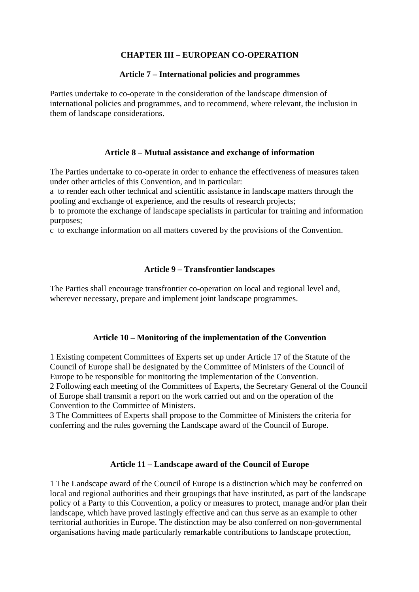# **CHAPTER III – EUROPEAN CO-OPERATION**

#### **Article 7 – International policies and programmes**

Parties undertake to co-operate in the consideration of the landscape dimension of international policies and programmes, and to recommend, where relevant, the inclusion in them of landscape considerations.

### **Article 8 – Mutual assistance and exchange of information**

The Parties undertake to co-operate in order to enhance the effectiveness of measures taken under other articles of this Convention, and in particular:

a to render each other technical and scientific assistance in landscape matters through the pooling and exchange of experience, and the results of research projects;

b to promote the exchange of landscape specialists in particular for training and information purposes;

c to exchange information on all matters covered by the provisions of the Convention.

### **Article 9 – Transfrontier landscapes**

The Parties shall encourage transfrontier co-operation on local and regional level and, wherever necessary, prepare and implement joint landscape programmes.

# **Article 10 – Monitoring of the implementation of the Convention**

1 Existing competent Committees of Experts set up under Article 17 of the Statute of the Council of Europe shall be designated by the Committee of Ministers of the Council of Europe to be responsible for monitoring the implementation of the Convention. 2 Following each meeting of the Committees of Experts, the Secretary General of the Council of Europe shall transmit a report on the work carried out and on the operation of the Convention to the Committee of Ministers.

3 The Committees of Experts shall propose to the Committee of Ministers the criteria for conferring and the rules governing the Landscape award of the Council of Europe.

# **Article 11 – Landscape award of the Council of Europe**

1 The Landscape award of the Council of Europe is a distinction which may be conferred on local and regional authorities and their groupings that have instituted, as part of the landscape policy of a Party to this Convention, a policy or measures to protect, manage and/or plan their landscape, which have proved lastingly effective and can thus serve as an example to other territorial authorities in Europe. The distinction may be also conferred on non-governmental organisations having made particularly remarkable contributions to landscape protection,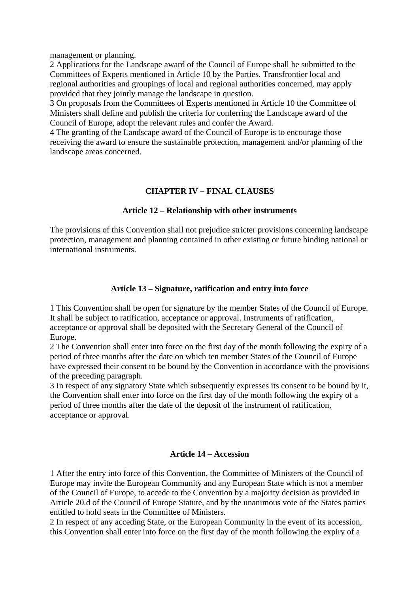management or planning.

2 Applications for the Landscape award of the Council of Europe shall be submitted to the Committees of Experts mentioned in Article 10 by the Parties. Transfrontier local and regional authorities and groupings of local and regional authorities concerned, may apply provided that they jointly manage the landscape in question.

3 On proposals from the Committees of Experts mentioned in Article 10 the Committee of Ministers shall define and publish the criteria for conferring the Landscape award of the Council of Europe, adopt the relevant rules and confer the Award.

4 The granting of the Landscape award of the Council of Europe is to encourage those receiving the award to ensure the sustainable protection, management and/or planning of the landscape areas concerned.

# **CHAPTER IV – FINAL CLAUSES**

### **Article 12 – Relationship with other instruments**

The provisions of this Convention shall not prejudice stricter provisions concerning landscape protection, management and planning contained in other existing or future binding national or international instruments.

# **Article 13 – Signature, ratification and entry into force**

1 This Convention shall be open for signature by the member States of the Council of Europe. It shall be subject to ratification, acceptance or approval. Instruments of ratification, acceptance or approval shall be deposited with the Secretary General of the Council of Europe.

2 The Convention shall enter into force on the first day of the month following the expiry of a period of three months after the date on which ten member States of the Council of Europe have expressed their consent to be bound by the Convention in accordance with the provisions of the preceding paragraph.

3 In respect of any signatory State which subsequently expresses its consent to be bound by it, the Convention shall enter into force on the first day of the month following the expiry of a period of three months after the date of the deposit of the instrument of ratification, acceptance or approval.

#### **Article 14 – Accession**

1 After the entry into force of this Convention, the Committee of Ministers of the Council of Europe may invite the European Community and any European State which is not a member of the Council of Europe, to accede to the Convention by a majority decision as provided in Article 20.d of the Council of Europe Statute, and by the unanimous vote of the States parties entitled to hold seats in the Committee of Ministers.

2 In respect of any acceding State, or the European Community in the event of its accession, this Convention shall enter into force on the first day of the month following the expiry of a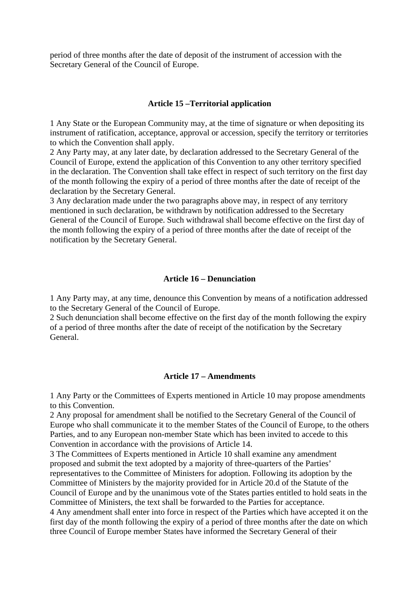period of three months after the date of deposit of the instrument of accession with the Secretary General of the Council of Europe.

#### **Article 15 –Territorial application**

1 Any State or the European Community may, at the time of signature or when depositing its instrument of ratification, acceptance, approval or accession, specify the territory or territories to which the Convention shall apply.

2 Any Party may, at any later date, by declaration addressed to the Secretary General of the Council of Europe, extend the application of this Convention to any other territory specified in the declaration. The Convention shall take effect in respect of such territory on the first day of the month following the expiry of a period of three months after the date of receipt of the declaration by the Secretary General.

3 Any declaration made under the two paragraphs above may, in respect of any territory mentioned in such declaration, be withdrawn by notification addressed to the Secretary General of the Council of Europe. Such withdrawal shall become effective on the first day of the month following the expiry of a period of three months after the date of receipt of the notification by the Secretary General.

#### **Article 16 – Denunciation**

1 Any Party may, at any time, denounce this Convention by means of a notification addressed to the Secretary General of the Council of Europe.

2 Such denunciation shall become effective on the first day of the month following the expiry of a period of three months after the date of receipt of the notification by the Secretary General.

#### **Article 17 – Amendments**

1 Any Party or the Committees of Experts mentioned in Article 10 may propose amendments to this Convention.

2 Any proposal for amendment shall be notified to the Secretary General of the Council of Europe who shall communicate it to the member States of the Council of Europe, to the others Parties, and to any European non-member State which has been invited to accede to this Convention in accordance with the provisions of Article 14.

3 The Committees of Experts mentioned in Article 10 shall examine any amendment proposed and submit the text adopted by a majority of three-quarters of the Parties' representatives to the Committee of Ministers for adoption. Following its adoption by the

Committee of Ministers by the majority provided for in Article 20.d of the Statute of the Council of Europe and by the unanimous vote of the States parties entitled to hold seats in the Committee of Ministers, the text shall be forwarded to the Parties for acceptance.

4 Any amendment shall enter into force in respect of the Parties which have accepted it on the first day of the month following the expiry of a period of three months after the date on which three Council of Europe member States have informed the Secretary General of their